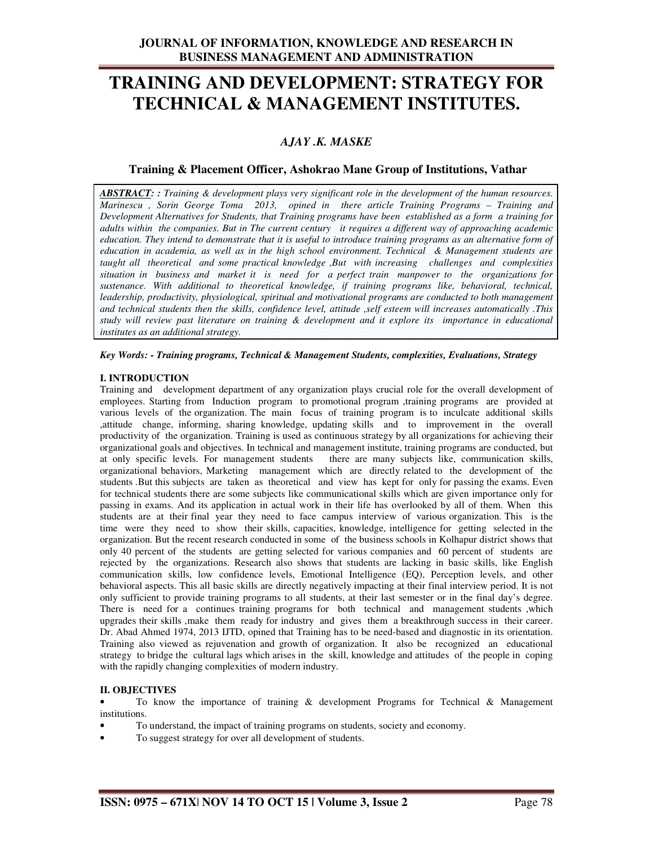## **JOURNAL OF INFORMATION, KNOWLEDGE AND RESEARCH IN BUSINESS MANAGEMENT AND ADMINISTRATION**

# **TRAINING AND DEVELOPMENT: STRATEGY FOR TECHNICAL & MANAGEMENT INSTITUTES.**

## *AJAY .K. MASKE*

## **Training & Placement Officer, Ashokrao Mane Group of Institutions, Vathar**

*ABSTRACT: : Training & development plays very significant role in the development of the human resources. Marinescu , Sorin George Toma 2013, opined in there article Training Programs – Training and Development Alternatives for Students, that Training programs have been established as a form a training for adults within the companies. But in The current century it requires a different way of approaching academic education. They intend to demonstrate that it is useful to introduce training programs as an alternative form of education in academia, as well as in the high school environment. Technical & Management students are taught all theoretical and some practical knowledge ,But with increasing challenges and complexities situation in business and market it is need for a perfect train manpower to the organizations for sustenance. With additional to theoretical knowledge, if training programs like, behavioral, technical,*  leadership, productivity, physiological, spiritual and motivational programs are conducted to both management *and technical students then the skills, confidence level, attitude ,self esteem will increases automatically .This study will review past literature on training & development and it explore its importance in educational institutes as an additional strategy.* 

*Key Words: - Training programs, Technical & Management Students, complexities, Evaluations, Strategy* 

## **I. INTRODUCTION**

Training and development department of any organization plays crucial role for the overall development of employees. Starting from Induction program to promotional program ,training programs are provided at various levels of the organization. The main focus of training program is to inculcate additional skills ,attitude change, informing, sharing knowledge, updating skills and to improvement in the overall productivity of the organization. Training is used as continuous strategy by all organizations for achieving their organizational goals and objectives. In technical and management institute, training programs are conducted, but at only specific levels. For management students there are many subjects like, communication skills, organizational behaviors, Marketing management which are directly related to the development of the students .But this subjects are taken as theoretical and view has kept for only for passing the exams. Even for technical students there are some subjects like communicational skills which are given importance only for passing in exams. And its application in actual work in their life has overlooked by all of them. When this students are at their final year they need to face campus interview of various organization. This is the time were they need to show their skills, capacities, knowledge, intelligence for getting selected in the organization. But the recent research conducted in some of the business schools in Kolhapur district shows that only 40 percent of the students are getting selected for various companies and 60 percent of students are rejected by the organizations. Research also shows that students are lacking in basic skills, like English communication skills, low confidence levels, Emotional Intelligence (EQ), Perception levels, and other behavioral aspects. This all basic skills are directly negatively impacting at their final interview period. It is not only sufficient to provide training programs to all students, at their last semester or in the final day's degree. There is need for a continues training programs for both technical and management students , which upgrades their skills ,make them ready for industry and gives them a breakthrough success in their career. Dr. Abad Ahmed 1974, 2013 IJTD, opined that Training has to be need-based and diagnostic in its orientation. Training also viewed as rejuvenation and growth of organization. It also be recognized an educational strategy to bridge the cultural lags which arises in the skill, knowledge and attitudes of the people in coping with the rapidly changing complexities of modern industry.

#### **II. OBJECTIVES**

• To know the importance of training & development Programs for Technical & Management institutions.

- To understand, the impact of training programs on students, society and economy.
- To suggest strategy for over all development of students.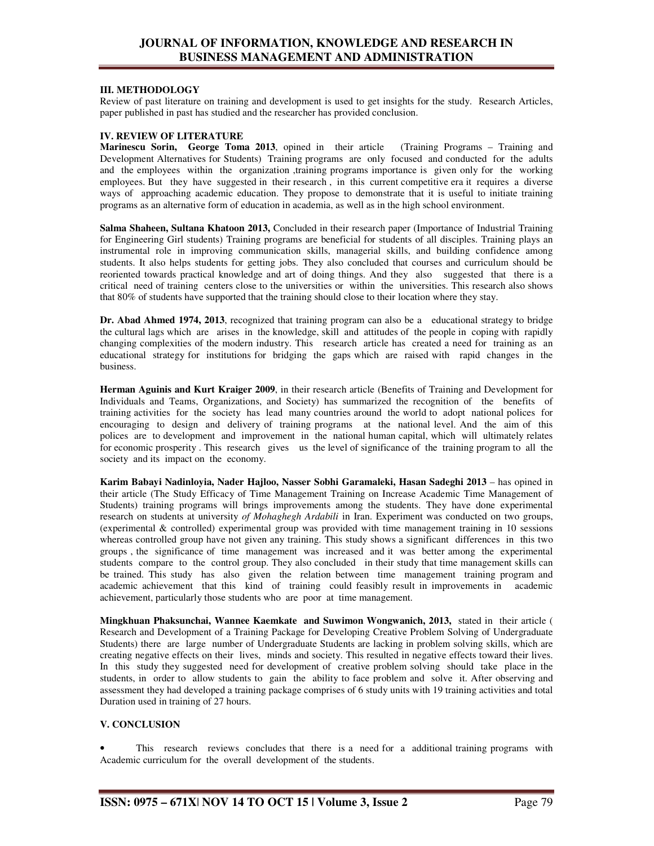## **JOURNAL OF INFORMATION, KNOWLEDGE AND RESEARCH IN BUSINESS MANAGEMENT AND ADMINISTRATION**

## **III. METHODOLOGY**

Review of past literature on training and development is used to get insights for the study. Research Articles, paper published in past has studied and the researcher has provided conclusion.

### **IV. REVIEW OF LITERATURE**

**Marinescu Sorin, George Toma 2013**, opined in their article (Training Programs – Training and Development Alternatives for Students) Training programs are only focused and conducted for the adults and the employees within the organization ,training programs importance is given only for the working employees. But they have suggested in their research , in this current competitive era it requires a diverse ways of approaching academic education. They propose to demonstrate that it is useful to initiate training programs as an alternative form of education in academia, as well as in the high school environment.

**Salma Shaheen, Sultana Khatoon 2013,** Concluded in their research paper (Importance of Industrial Training for Engineering Girl students) Training programs are beneficial for students of all disciples. Training plays an instrumental role in improving communication skills, managerial skills, and building confidence among students. It also helps students for getting jobs. They also concluded that courses and curriculum should be reoriented towards practical knowledge and art of doing things. And they also suggested that there is a critical need of training centers close to the universities or within the universities. This research also shows that 80% of students have supported that the training should close to their location where they stay.

**Dr. Abad Ahmed 1974, 2013**, recognized that training program can also be a educational strategy to bridge the cultural lags which are arises in the knowledge, skill and attitudes of the people in coping with rapidly changing complexities of the modern industry. This research article has created a need for training as an educational strategy for institutions for bridging the gaps which are raised with rapid changes in the business.

**Herman Aguinis and Kurt Kraiger 2009**, in their research article (Benefits of Training and Development for Individuals and Teams, Organizations, and Society) has summarized the recognition of the benefits of training activities for the society has lead many countries around the world to adopt national polices for encouraging to design and delivery of training programs at the national level. And the aim of this polices are to development and improvement in the national human capital, which will ultimately relates for economic prosperity . This research gives us the level of significance of the training program to all the society and its impact on the economy.

**Karim Babayi Nadinloyia, Nader Hajloo, Nasser Sobhi Garamaleki, Hasan Sadeghi 2013** – has opined in their article (The Study Efficacy of Time Management Training on Increase Academic Time Management of Students) training programs will brings improvements among the students. They have done experimental research on students at university *of Mohaghegh Ardabili* in Iran. Experiment was conducted on two groups, (experimental & controlled) experimental group was provided with time management training in 10 sessions whereas controlled group have not given any training. This study shows a significant differences in this two groups , the significance of time management was increased and it was better among the experimental students compare to the control group. They also concluded in their study that time management skills can be trained. This study has also given the relation between time management training program and academic achievement that this kind of training could feasibly result in improvements in academic achievement, particularly those students who are poor at time management.

**Mingkhuan Phaksunchai, Wannee Kaemkate and Suwimon Wongwanich, 2013,** stated in their article ( Research and Development of a Training Package for Developing Creative Problem Solving of Undergraduate Students) there are large number of Undergraduate Students are lacking in problem solving skills, which are creating negative effects on their lives, minds and society. This resulted in negative effects toward their lives. In this study they suggested need for development of creative problem solving should take place in the students, in order to allow students to gain the ability to face problem and solve it. After observing and assessment they had developed a training package comprises of 6 study units with 19 training activities and total Duration used in training of 27 hours.

#### **V. CONCLUSION**

This research reviews concludes that there is a need for a additional training programs with Academic curriculum for the overall development of the students.